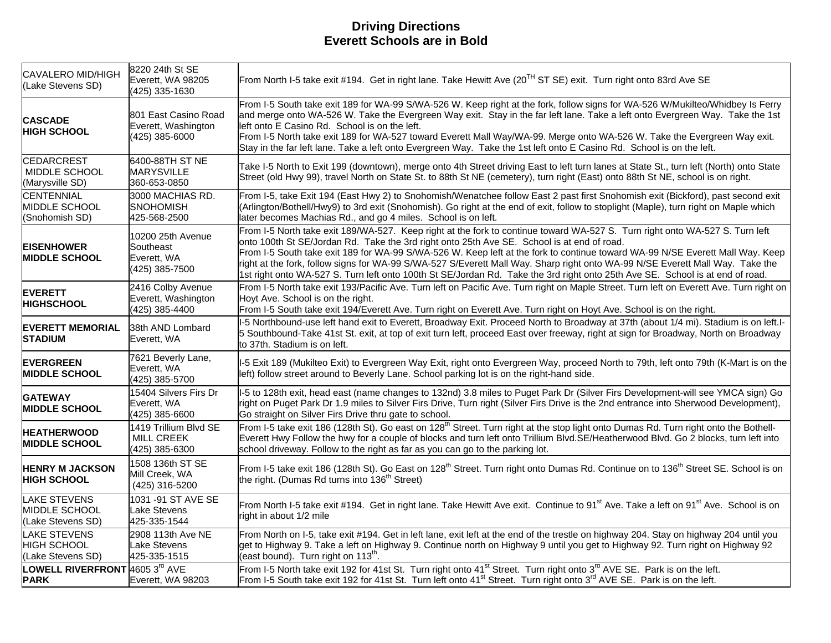## **Driving Directions Everett Schools are in Bold**

| CAVALERO MID/HIGH<br>(Lake Stevens SD)                       | 8220 24th St SE<br>Everett, WA 98205<br>(425) 335-1630          | From North I-5 take exit #194. Get in right lane. Take Hewitt Ave (20 <sup>TH</sup> ST SE) exit. Turn right onto 83rd Ave SE                                                                                                                                                                                                                                                                                                                                                                                                                                                                                                  |
|--------------------------------------------------------------|-----------------------------------------------------------------|-------------------------------------------------------------------------------------------------------------------------------------------------------------------------------------------------------------------------------------------------------------------------------------------------------------------------------------------------------------------------------------------------------------------------------------------------------------------------------------------------------------------------------------------------------------------------------------------------------------------------------|
| <b>CASCADE</b><br><b>HIGH SCHOOL</b>                         | 801 East Casino Road<br>Everett, Washington<br>(425) 385-6000   | From I-5 South take exit 189 for WA-99 S/WA-526 W. Keep right at the fork, follow signs for WA-526 W/Mukilteo/Whidbey Is Ferry<br>and merge onto WA-526 W. Take the Evergreen Way exit. Stay in the far left lane. Take a left onto Evergreen Way. Take the 1st<br>left onto E Casino Rd. School is on the left.<br>From I-5 North take exit 189 for WA-527 toward Everett Mall Way/WA-99. Merge onto WA-526 W. Take the Evergreen Way exit.<br>Stay in the far left lane. Take a left onto Evergreen Way. Take the 1st left onto E Casino Rd. School is on the left.                                                         |
| <b>CEDARCREST</b><br>MIDDLE SCHOOL<br>(Marysville SD)        | 6400-88TH ST NE<br><b>MARYSVILLE</b><br>360-653-0850            | Take I-5 North to Exit 199 (downtown), merge onto 4th Street driving East to left turn lanes at State St., turn left (North) onto State<br>Street (old Hwy 99), travel North on State St. to 88th St NE (cemetery), turn right (East) onto 88th St NE, school is on right.                                                                                                                                                                                                                                                                                                                                                    |
| <b>CENTENNIAL</b><br><b>IMIDDLE SCHOOL</b><br>(Snohomish SD) | 3000 MACHIAS RD.<br><b>SNOHOMISH</b><br>425-568-2500            | From I-5, take Exit 194 (East Hwy 2) to Snohomish/Wenatchee follow East 2 past first Snohomish exit (Bickford), past second exit<br>(Arlington/Bothell/Hwy9) to 3rd exit (Snohomish). Go right at the end of exit, follow to stoplight (Maple), turn right on Maple which<br>later becomes Machias Rd., and go 4 miles. School is on left.                                                                                                                                                                                                                                                                                    |
| <b>EISENHOWER</b><br><b>MIDDLE SCHOOL</b>                    | 10200 25th Avenue<br>Southeast<br>Everett, WA<br>(425) 385-7500 | From I-5 North take exit 189/WA-527. Keep right at the fork to continue toward WA-527 S. Turn right onto WA-527 S. Turn left<br>onto 100th St SE/Jordan Rd. Take the 3rd right onto 25th Ave SE. School is at end of road.<br>From I-5 South take exit 189 for WA-99 S/WA-526 W. Keep left at the fork to continue toward WA-99 N/SE Everett Mall Way. Keep<br>right at the fork, follow signs for WA-99 S/WA-527 S/Everett Mall Way. Sharp right onto WA-99 N/SE Everett Mall Way. Take the<br>1st right onto WA-527 S. Turn left onto 100th St SE/Jordan Rd. Take the 3rd right onto 25th Ave SE. School is at end of road. |
| <b>EVERETT</b><br><b>HIGHSCHOOL</b>                          | 2416 Colby Avenue<br>Everett, Washington<br>(425) 385-4400      | From I-5 North take exit 193/Pacific Ave. Turn left on Pacific Ave. Turn right on Maple Street. Turn left on Everett Ave. Turn right on<br>Hoyt Ave. School is on the right.<br>From I-5 South take exit 194/Everett Ave. Turn right on Everett Ave. Turn right on Hoyt Ave. School is on the right.                                                                                                                                                                                                                                                                                                                          |
| <b>EVERETT MEMORIAL</b><br><b>STADIUM</b>                    | 38th AND Lombard<br>Everett, WA                                 | I-5 Northbound-use left hand exit to Everett, Broadway Exit. Proceed North to Broadway at 37th (about 1/4 mi). Stadium is on left.I-<br>5 Southbound-Take 41st St. exit, at top of exit turn left, proceed East over freeway, right at sign for Broadway, North on Broadway<br>to 37th. Stadium is on left.                                                                                                                                                                                                                                                                                                                   |
| <b>EVERGREEN</b><br><b>MIDDLE SCHOOL</b>                     | 7621 Beverly Lane,<br>Everett, WA<br>(425) 385-5700             | I-5 Exit 189 (Mukilteo Exit) to Evergreen Way Exit, right onto Evergreen Way, proceed North to 79th, left onto 79th (K-Mart is on the<br>left) follow street around to Beverly Lane. School parking lot is on the right-hand side.                                                                                                                                                                                                                                                                                                                                                                                            |
| <b>GATEWAY</b><br><b>IMIDDLE SCHOOL</b>                      | 15404 Silvers Firs Dr<br>Everett, WA<br>(425) 385-6600          | I-5 to 128th exit, head east (name changes to 132nd) 3.8 miles to Puget Park Dr (Silver Firs Development-will see YMCA sign) Go<br>right on Puget Park Dr 1.9 miles to Silver Firs Drive, Turn right (Silver Firs Drive is the 2nd entrance into Sherwood Development),<br>Go straight on Silver Firs Drive thru gate to school.                                                                                                                                                                                                                                                                                              |
| <b>HEATHERWOOD</b><br><b>IMIDDLE SCHOOL</b>                  | 1419 Trillium Blvd SE<br>MILL CREEK<br>(425) 385-6300           | From I-5 take exit 186 (128th St). Go east on 128 <sup>th</sup> Street. Turn right at the stop light onto Dumas Rd. Turn right onto the Bothell-<br>Everett Hwy Follow the hwy for a couple of blocks and turn left onto Trillium Blvd.SE/Heatherwood Blvd. Go 2 blocks, turn left into<br>school driveway. Follow to the right as far as you can go to the parking lot.                                                                                                                                                                                                                                                      |
| <b>HENRY M JACKSON</b><br><b>HIGH SCHOOL</b>                 | 1508 136th ST SE<br>Mill Creek, WA<br>(425) 316-5200            | From I-5 take exit 186 (128th St). Go East on 128 <sup>th</sup> Street. Turn right onto Dumas Rd. Continue on to 136 <sup>th</sup> Street SE. School is on<br>the right. (Dumas Rd turns into 136 <sup>th</sup> Street)                                                                                                                                                                                                                                                                                                                                                                                                       |
| LAKE STEVENS<br>IMIDDLE SCHOOL<br>(Lake Stevens SD)          | 1031 -91 ST AVE SE<br><b>Lake Stevens</b><br>425-335-1544       | From North I-5 take exit #194. Get in right lane. Take Hewitt Ave exit. Continue to 91 <sup>st</sup> Ave. Take a left on 91 <sup>st</sup> Ave. School is on<br>right in about 1/2 mile                                                                                                                                                                                                                                                                                                                                                                                                                                        |
| <b>LAKE STEVENS</b><br>HIGH SCHOOL<br>(Lake Stevens SD)      | 2908 113th Ave NE<br>Lake Stevens<br>425-335-1515               | From North on I-5, take exit #194. Get in left lane, exit left at the end of the trestle on highway 204. Stay on highway 204 until you<br>get to Highway 9. Take a left on Highway 9. Continue north on Highway 9 until you get to Highway 92. Turn right on Highway 92<br>(east bound). Turn right on $113^{\text{th}}$ .                                                                                                                                                                                                                                                                                                    |
| LOWELL RIVERFRONT 4605 3rd AVE<br><b>PARK</b>                | Everett, WA 98203                                               | From I-5 North take exit 192 for 41st St. Turn right onto 41 <sup>st</sup> Street. Turn right onto 3 <sup>rd</sup> AVE SE. Park is on the left.<br>From I-5 South take exit 192 for 41st St. Turn left onto 41 <sup>st</sup> Street. Turn right onto 3 <sup>rd</sup> AVE SE. Park is on the left.                                                                                                                                                                                                                                                                                                                             |